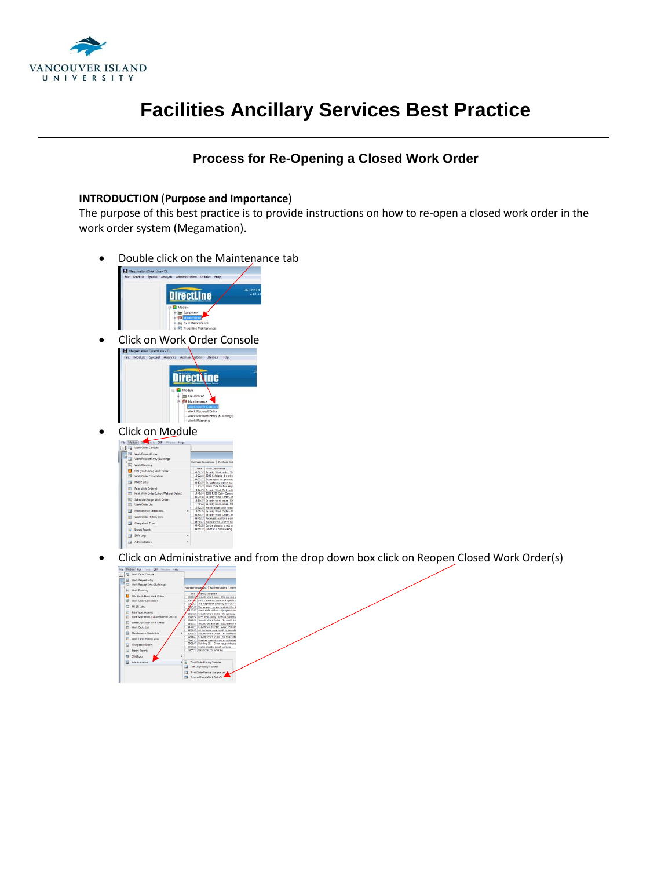

## **Facilities Ancillary Services Best Practice**

## **Process for Re-Opening a Closed Work Order**

## **INTRODUCTION** (**Purpose and Importance**)

The purpose of this best practice is to provide instructions on how to re-open a closed work order in the work order system (Megamation).

Double click on the Maintenance tab





Click on Module

|  | File |   | Module Edit Tools QBF Window Help                                                |   |                                     |                                   |
|--|------|---|----------------------------------------------------------------------------------|---|-------------------------------------|-----------------------------------|
|  |      |   | La Work Order Console                                                            |   |                                     |                                   |
|  |      |   | <b>Use</b> Work Request Entry                                                    |   |                                     |                                   |
|  |      |   | <b>128</b> Work Request Entry (Buildings)                                        |   |                                     |                                   |
|  |      | w | <b>Work Planning</b>                                                             |   | Purchase Requisitions   Purchase Or |                                   |
|  |      |   | DIN (Do-It-Now) Work Orders<br><b>ESP Work Order Completion</b>                  |   | Time                                | <b>Week Description</b>           |
|  |      |   |                                                                                  |   |                                     | 08:06:32 Security Work order: 1   |
|  |      |   |                                                                                  |   |                                     | 10:02:15 B300 Cafeteria - burnt   |
|  |      |   | <b>IS MHSR Entry</b>                                                             |   |                                     | 09:02:27 The magnet on gatewa     |
|  |      |   |                                                                                  |   |                                     | 09:13:27 The gateway system ha    |
|  |      | 冒 | Print Work Orderful                                                              |   |                                     | 11:32:47 Alarm code for two em    |
|  |      |   |                                                                                  |   |                                     | 13:24:23 Security Work Order -:   |
|  |      | 司 | Print Work Order (Labor/Material Details)                                        |   |                                     | 13:48:54 8255 R280 Cathy Came     |
|  |      |   | Schedule/Assign Work Orders<br>Work Order List<br><b>Maintenance Check-lists</b> |   |                                     | 08:21:38 Security Work Order -    |
|  |      | œ |                                                                                  |   |                                     | 14:13:27 Security work order - 8  |
|  |      | 雨 |                                                                                  |   |                                     | 11:09:44 Security work order - 8  |
|  |      |   |                                                                                  |   |                                     | 12:52:25 An intrusion code nee    |
|  |      |   |                                                                                  |   |                                     | 10:01:25 Security Work Order -    |
|  |      | 司 | Work Order History View                                                          |   |                                     | 08:51:27 Security Work Order -    |
|  |      |   |                                                                                  |   |                                     | 09:40:13 Received a call this mo- |
|  |      |   | <b>Chargeback Export</b>                                                         |   |                                     | 09:36:47 Building 391 - Green h   |
|  |      |   |                                                                                  |   |                                     | 09:45:28 Centre elevator is not   |
|  |      | R | <b>Export Reports</b>                                                            |   |                                     | 09:55:32 Elevator is not working  |
|  |      |   | <b>Tal Shift Logs</b>                                                            | ٠ |                                     |                                   |
|  |      |   | <b>Tal Administrative</b>                                                        | ٠ |                                     |                                   |

• Click on Administrative and from the drop down box click on Reopen Closed Work Order(s)